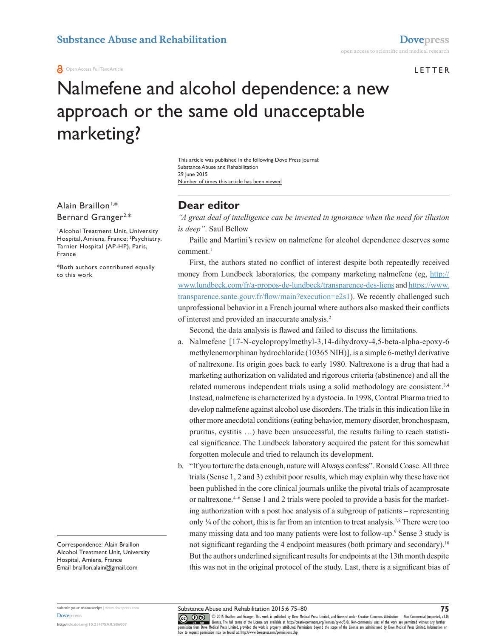**a** Open Access Full Text Article

#### LETTER

# Nalmefene and alcohol dependence: a new approach or the same old unacceptable marketing?

Number of times this article has been viewed This article was published in the following Dove Press journal: Substance Abuse and Rehabilitation 29 Iune 2015

Alain Braillon<sup>1,\*</sup> Bernard Granger2,\*

1 Alcohol Treatment Unit, University Hospital, Amiens, France; <sup>2</sup>Psychiatry, Tarnier Hospital (AP-HP), Paris, France

\*Both authors contributed equally to this work

Correspondence: Alain Braillon Alcohol Treatment Unit, University Hospital, Amiens, France Email [braillon.alain@gmail.com](mailto:braillon.alain@gmail.com)

## **Dear editor**

*"A great deal of intelligence can be invested in ignorance when the need for illusion is deep"*. Saul Bellow

Paille and Martini's review on nalmefene for alcohol dependence deserves some  $comment.<sup>1</sup>$ 

First, the authors stated no conflict of interest despite both repeatedly received money from Lundbeck laboratories, the company marketing nalmefene (eg, [http://](http://www.lundbeck.com/fr/a-propos-de-lundbeck/transparence-des-liens) [www.lundbeck.com/fr/a-propos-de-lundbeck/transparence-des-liens](http://www.lundbeck.com/fr/a-propos-de-lundbeck/transparence-des-liens) and [https://www.](https://www.transparence.sante.gouv.fr/flow/main?execution=e2s1) [transparence.sante.gouv.fr/flow/main?execution=e2s1](https://www.transparence.sante.gouv.fr/flow/main?execution=e2s1)). We recently challenged such unprofessional behavior in a French journal where authors also masked their conflicts of interest and provided an inaccurate analysis.2

Second, the data analysis is flawed and failed to discuss the limitations.

- a. Nalmefene [17-N-cyclopropylmethyl-3,14-dihydroxy-4,5-beta-alpha-epoxy-6 methylenemorphinan hydrochloride (10365 NIH)], is a simple 6-methyl derivative of naltrexone. Its origin goes back to early 1980. Naltrexone is a drug that had a marketing authorization on validated and rigorous criteria (abstinence) and all the related numerous independent trials using a solid methodology are consistent.3,4 Instead, nalmefene is characterized by a dystocia. In 1998, Contral Pharma tried to develop nalmefene against alcohol use disorders. The trials in this indication like in other more anecdotal conditions (eating behavior, memory disorder, bronchospasm, pruritus, cystitis …) have been unsuccessful, the results failing to reach statistical significance. The Lundbeck laboratory acquired the patent for this somewhat forgotten molecule and tried to relaunch its development.
- b. "If you torture the data enough, nature will Always confess". Ronald Coase. All three trials (Sense 1, 2 and 3) exhibit poor results, which may explain why these have not been published in the core clinical journals unlike the pivotal trials of acamprosate or naltrexone.4–6 Sense 1 and 2 trials were pooled to provide a basis for the marketing authorization with a post hoc analysis of a subgroup of patients – representing only  $\frac{1}{4}$  of the cohort, this is far from an intention to treat analysis.<sup>7,8</sup> There were too many missing data and too many patients were lost to follow-up.<sup>9</sup> Sense 3 study is not significant regarding the 4 endpoint measures (both primary and secondary).<sup>10</sup> But the authors underlined significant results for endpoints at the 13th month despite this was not in the original protocol of the study. Last, there is a significant bias of

Substance Abuse and Rehabilitation 2015:6 75–80

CO OD S Braillon and Granger. This work is published by Dove Medical Press Limited, and licensed under Creative Commons Attribution - Non Commercial (unported, v3.0)<br> [permission from Dove M](http://www.dovepress.com/permissions.php)edical Press Limited, provided th how to request permission may be found at:<http://www.dovepress.com/permissions.php>

**submit your manuscript** | <www.dovepress.com> **[Dovepress](www.dovepress.com)**

**<http://dx.doi.org/10.2147/SAR.S86007>**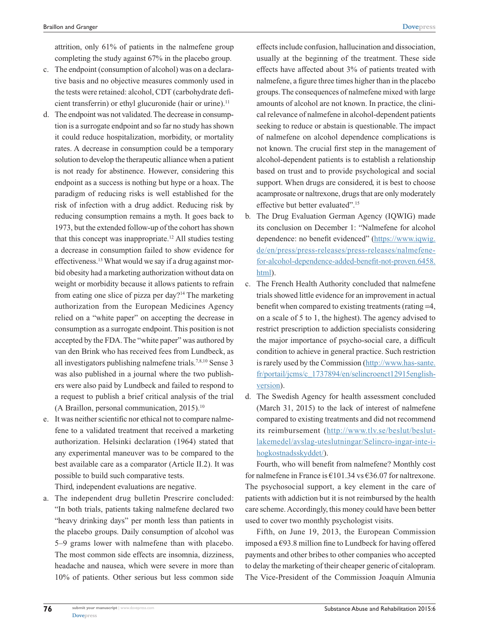attrition, only 61% of patients in the nalmefene group completing the study against 67% in the placebo group.

- c. The endpoint (consumption of alcohol) was on a declarative basis and no objective measures commonly used in the tests were retained: alcohol, CDT (carbohydrate deficient transferrin) or ethyl glucuronide (hair or urine).<sup>11</sup>
- d. The endpoint was not validated. The decrease in consumption is a surrogate endpoint and so far no study has shown it could reduce hospitalization, morbidity, or mortality rates. A decrease in consumption could be a temporary solution to develop the therapeutic alliance when a patient is not ready for abstinence. However, considering this endpoint as a success is nothing but hype or a hoax. The paradigm of reducing risks is well established for the risk of infection with a drug addict. Reducing risk by reducing consumption remains a myth. It goes back to 1973, but the extended follow-up of the cohort has shown that this concept was inappropriate.<sup>12</sup> All studies testing a decrease in consumption failed to show evidence for effectiveness.<sup>13</sup> What would we say if a drug against morbid obesity had a marketing authorization without data on weight or morbidity because it allows patients to refrain from eating one slice of pizza per day?14 The marketing authorization from the European Medicines Agency relied on a "white paper" on accepting the decrease in consumption as a surrogate endpoint. This position is not accepted by the FDA. The "white paper" was authored by van den Brink who has received fees from Lundbeck, as all investigators publishing nalmefene trials.7,8,10 Sense 3 was also published in a journal where the two publishers were also paid by Lundbeck and failed to respond to a request to publish a brief critical analysis of the trial (A Braillon, personal communication,  $2015$ ).<sup>10</sup>
- e. It was neither scientific nor ethical not to compare nalmefene to a validated treatment that received a marketing authorization. Helsinki declaration (1964) stated that any experimental maneuver was to be compared to the best available care as a comparator (Article II.2). It was possible to build such comparative tests.

Third, independent evaluations are negative.

a. The independent drug bulletin Prescrire concluded: "In both trials, patients taking nalmefene declared two "heavy drinking days" per month less than patients in the placebo groups. Daily consumption of alcohol was 5–9 grams lower with nalmefene than with placebo. The most common side effects are insomnia, dizziness, headache and nausea, which were severe in more than 10% of patients. Other serious but less common side effects include confusion, hallucination and dissociation, usually at the beginning of the treatment. These side effects have affected about 3% of patients treated with nalmefene, a figure three times higher than in the placebo groups. The consequences of nalmefene mixed with large amounts of alcohol are not known. In practice, the clinical relevance of nalmefene in alcohol-dependent patients seeking to reduce or abstain is questionable. The impact of nalmefene on alcohol dependence complications is not known. The crucial first step in the management of alcohol-dependent patients is to establish a relationship based on trust and to provide psychological and social support. When drugs are considered, it is best to choose acamprosate or naltrexone, drugs that are only moderately effective but better evaluated".15

- b. The Drug Evaluation German Agency (IQWIG) made its conclusion on December 1: "Nalmefene for alcohol dependence: no benefit evidenced" ([https://www.iqwig.](https://www.iqwig.de/en/press/press-releases/press-releases/nalmefene-for-alcohol-dependence-added-benefit-not-proven.6458.html) [de/en/press/press-releases/press-releases/nalmefene](https://www.iqwig.de/en/press/press-releases/press-releases/nalmefene-for-alcohol-dependence-added-benefit-not-proven.6458.html)[for-alcohol-dependence-added-benefit-not-proven.6458.](https://www.iqwig.de/en/press/press-releases/press-releases/nalmefene-for-alcohol-dependence-added-benefit-not-proven.6458.html) [html](https://www.iqwig.de/en/press/press-releases/press-releases/nalmefene-for-alcohol-dependence-added-benefit-not-proven.6458.html)).
- c. The French Health Authority concluded that nalmefene trials showed little evidence for an improvement in actual benefit when compared to existing treatments (rating =4, on a scale of 5 to 1, the highest). The agency advised to restrict prescription to addiction specialists considering the major importance of psycho-social care, a difficult condition to achieve in general practice. Such restriction is rarely used by the Commission [\(http://www.has-sante.](http://www.has-sante.fr/portail/jcms/c_1737894/en/selincroenct12915english-version) [fr/portail/jcms/c\\_1737894/en/selincroenct12915english](http://www.has-sante.fr/portail/jcms/c_1737894/en/selincroenct12915english-version)[version](http://www.has-sante.fr/portail/jcms/c_1737894/en/selincroenct12915english-version)).
- d. The Swedish Agency for health assessment concluded (March 31, 2015) to the lack of interest of nalmefene compared to existing treatments and did not recommend its reimbursement (http://[www.tlv.se/beslut/beslut](http://www.tlv.se/beslut/beslut-lakemedel/avslag-uteslutningar/Selincro-ingar-inte-i-hogkostnadsskyddet/)[lakemedel/avslag-uteslutningar/Selincro-ingar-inte-i](http://www.tlv.se/beslut/beslut-lakemedel/avslag-uteslutningar/Selincro-ingar-inte-i-hogkostnadsskyddet/)[hogkostnadsskyddet/](http://www.tlv.se/beslut/beslut-lakemedel/avslag-uteslutningar/Selincro-ingar-inte-i-hogkostnadsskyddet/)).

Fourth, who will benefit from nalmefene? Monthly cost for nalmefene in France is  $\text{\textsterling}101.34$  vs  $\text{\textsterling}36.07$  for naltrexone. The psychosocial support, a key element in the care of patients with addiction but it is not reimbursed by the health care scheme. Accordingly, this money could have been better used to cover two monthly psychologist visits.

Fifth, on June 19, 2013, the European Commission imposed a  $€93.8$  million fine to Lundbeck for having offered payments and other bribes to other companies who accepted to delay the marketing of their cheaper generic of citalopram. The Vice-President of the Commission Joaquín Almunia

**76**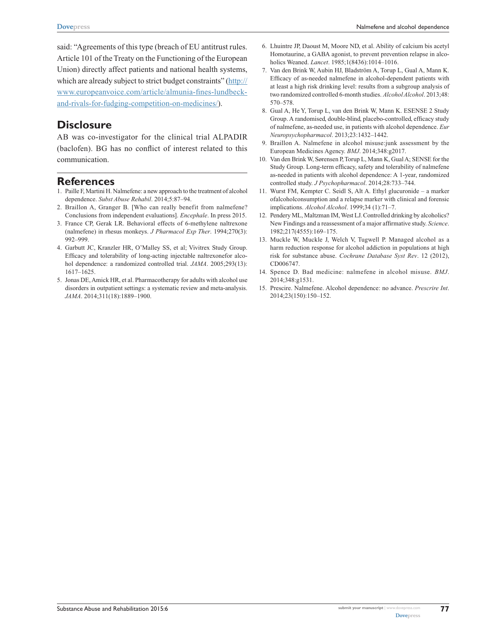said: "Agreements of this type (breach of EU antitrust rules. Article 101 of the Treaty on the Functioning of the European Union) directly affect patients and national health systems, which are already subject to strict budget constraints" ([http://](http://www.europeanvoice.com/article/almunia-fines-lundbeck-and-rivals- for-fudging-competition-on-medicines/) [www.europeanvoice.com/article/almunia-fines-lundbeck](http://www.europeanvoice.com/article/almunia-fines-lundbeck-and-rivals- for-fudging-competition-on-medicines/)[and-rivals-for-fudging-competition-on-medicines/\)](http://www.europeanvoice.com/article/almunia-fines-lundbeck-and-rivals- for-fudging-competition-on-medicines/).

## **Disclosure**

AB was co-investigator for the clinical trial ALPADIR (baclofen). BG has no conflict of interest related to this communication.

## **References**

- 1. Paille F, Martini H. Nalmefene: a new approach to the treatment of alcohol dependence. *Subst Abuse Rehabil*. 2014;5:87–94.
- 2. Braillon A, Granger B. [Who can really benefit from nalmefene? Conclusions from independent evaluations]. *Encephale*. In press 2015.
- 3. France CP, Gerak LR. Behavioral effects of 6-methylene naltrexone (nalmefene) in rhesus monkeys. *J Pharmacol Exp Ther*. 1994;270(3): 992–999.
- 4. Garbutt JC, Kranzler HR, O'Malley SS, et al; Vivitrex Study Group. Efficacy and tolerability of long-acting injectable naltrexonefor alcohol dependence: a randomized controlled trial. *JAMA*. 2005;293(13): 1617–1625.
- 5. Jonas DE, Amick HR, et al. Pharmacotherapy for adults with alcohol use disorders in outpatient settings: a systematic review and meta-analysis. *JAMA*. 2014;311(18):1889–1900.
- 6. Lhuintre JP, Daoust M, Moore ND, et al. Ability of calcium bis acetyl Homotaurine, a GABA agonist, to prevent prevention relapse in alcoholics Weaned. *Lancet*. 1985;1(8436):1014–1016.
- 7. Van den Brink W, Aubin HJ, Bladström A, Torup L, Gual A, Mann K. Efficacy of as-needed nalmefene in alcohol-dependent patients with at least a high risk drinking level: results from a subgroup analysis of two randomized controlled 6-month studies. *Alcohol Alcohol*. 2013;48: 570–578.
- 8. Gual A, He Y, Torup L, van den Brink W, Mann K. ESENSE 2 Study Group. A randomised, double-blind, placebo-controlled, efficacy study of nalmefene, as-needed use, in patients with alcohol dependence. *Eur Neuropsychopharmacol*. 2013;23:1432–1442.
- 9. Braillon A. Nalmefene in alcohol misuse:junk assessment by the European Medicines Agency. *BMJ*. 2014;348:g2017.
- 10. Van den Brink W, Sørensen P, Torup L, Mann K, Gual A; SENSE for the Study Group. Long-term efficacy, safety and tolerability of nalmefene as-needed in patients with alcohol dependence: A 1-year, randomized controlled study. *J Psychopharmacol*. 2014;28:733–744.
- 11. Wurst FM, Kempter C. Seidl S, Alt A. Ethyl glucuronide a marker ofalcoholconsumption and a relapse marker with clinical and forensic implications. *Alcohol Alcohol*. 1999;34 (1):71–7.
- 12. Pendery ML, Maltzman IM, West LJ. Controlled drinking by alcoholics? New Findings and a reassessment of a major affirmative study. *Science*. 1982;217(4555):169–175.
- 13. Muckle W, Muckle J, Welch V, Tugwell P. Managed alcohol as a harm reduction response for alcohol addiction in populations at high risk for substance abuse. *Cochrane Database Syst Rev*. 12 (2012), CD006747.
- 14. Spence D. Bad medicine: nalmefene in alcohol misuse. *BMJ*. 2014;348:g1531.
- 15. Prescire. Nalmefene. Alcohol dependence: no advance. *Prescrire Int*. 2014;23(150):150–152.

**77**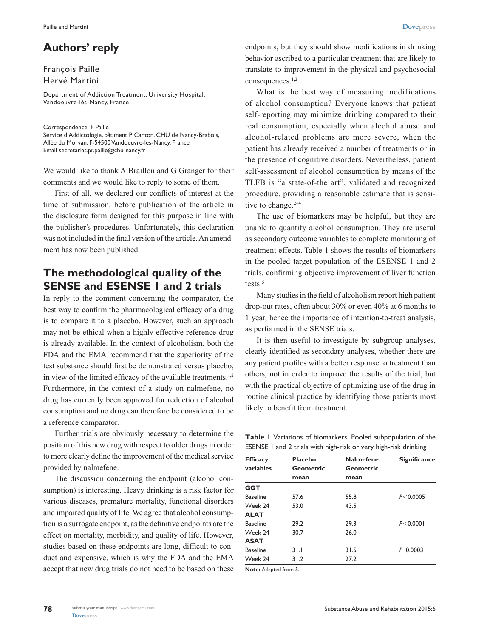## **Authors' reply**

#### François Paille Hervé Martini

Department of Addiction Treatment, University Hospital, Vandoeuvre-lès-Nancy, France

#### Correspondence: F Paille

Service d'Addictologie, bâtiment P Canton, CHU de Nancy-Brabois, Allée du Morvan, F-54500 Vandoeuvre-lès-Nancy, France Email [secretariat.pr.paille@chu-nancy.fr](mailto:secretariat.pr.paille@chu-nancy.fr)

We would like to thank A Braillon and G Granger for their comments and we would like to reply to some of them.

First of all, we declared our conflicts of interest at the time of submission, before publication of the article in the disclosure form designed for this purpose in line with the publisher's procedures. Unfortunately, this declaration was not included in the final version of the article. An amendment has now been published.

## **The methodological quality of the SENSE and ESENSE 1 and 2 trials**

In reply to the comment concerning the comparator, the best way to confirm the pharmacological efficacy of a drug is to compare it to a placebo. However, such an approach may not be ethical when a highly effective reference drug is already available. In the context of alcoholism, both the FDA and the EMA recommend that the superiority of the test substance should first be demonstrated versus placebo, in view of the limited efficacy of the available treatments.<sup>1,2</sup> Furthermore, in the context of a study on nalmefene, no drug has currently been approved for reduction of alcohol consumption and no drug can therefore be considered to be a reference comparator.

Further trials are obviously necessary to determine the position of this new drug with respect to older drugs in order to more clearly define the improvement of the medical service provided by nalmefene.

The discussion concerning the endpoint (alcohol consumption) is interesting. Heavy drinking is a risk factor for various diseases, premature mortality, functional disorders and impaired quality of life. We agree that alcohol consumption is a surrogate endpoint, as the definitive endpoints are the effect on mortality, morbidity, and quality of life. However, studies based on these endpoints are long, difficult to conduct and expensive, which is why the FDA and the EMA accept that new drug trials do not need to be based on these endpoints, but they should show modifications in drinking behavior ascribed to a particular treatment that are likely to translate to improvement in the physical and psychosocial consequences.1,2

What is the best way of measuring modifications of alcohol consumption? Everyone knows that patient self-reporting may minimize drinking compared to their real consumption, especially when alcohol abuse and alcohol-related problems are more severe, when the patient has already received a number of treatments or in the presence of cognitive disorders. Nevertheless, patient self-assessment of alcohol consumption by means of the TLFB is "a state-of-the art", validated and recognized procedure, providing a reasonable estimate that is sensitive to change. $2-4$ 

The use of biomarkers may be helpful, but they are unable to quantify alcohol consumption. They are useful as secondary outcome variables to complete monitoring of treatment effects. Table 1 shows the results of biomarkers in the pooled target population of the ESENSE 1 and 2 trials, confirming objective improvement of liver function tests.<sup>5</sup>

Many studies in the field of alcoholism report high patient drop-out rates, often about 30% or even 40% at 6 months to 1 year, hence the importance of intention-to-treat analysis, as performed in the SENSE trials.

It is then useful to investigate by subgroup analyses, clearly identified as secondary analyses, whether there are any patient profiles with a better response to treatment than others, not in order to improve the results of the trial, but with the practical objective of optimizing use of the drug in routine clinical practice by identifying those patients most likely to benefit from treatment.

**Table 1** Variations of biomarkers. Pooled subpopulation of the ESENSE 1 and 2 trials with high-risk or very high-risk drinking

| <b>Efficacy</b><br>variables | <b>Placebo</b><br>Geometric | <b>Nalmefene</b><br>Geometric | <b>Significance</b> |
|------------------------------|-----------------------------|-------------------------------|---------------------|
|                              | mean                        | mean                          |                     |
| GGT                          |                             |                               |                     |
| <b>Baseline</b>              | 57.6                        | 55.8                          | P < 0.0005          |
| Week 24                      | 53.0                        | 43.5                          |                     |
| <b>ALAT</b>                  |                             |                               |                     |
| <b>Baseline</b>              | 29.2                        | 29.3                          | P < 0.0001          |
| Week 24                      | 30.7                        | 26.0                          |                     |
| <b>ASAT</b>                  |                             |                               |                     |
| <b>Baseline</b>              | 31.1                        | 31.5                          | $P = 0.0003$        |
| Week 24                      | 31.2                        | 27.2                          |                     |
|                              |                             |                               |                     |

**Note:** Adapted from 5.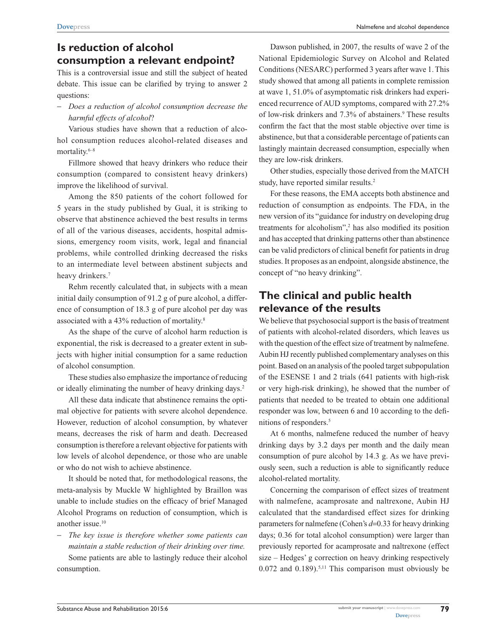# **Is reduction of alcohol consumption a relevant endpoint?**

This is a controversial issue and still the subject of heated debate. This issue can be clarified by trying to answer 2 questions:

- *Does a reduction of alcohol consumption decrease the harmful effects of alcohol*?

Various studies have shown that a reduction of alcohol consumption reduces alcohol-related diseases and mortality.<sup>6–8</sup>

Fillmore showed that heavy drinkers who reduce their consumption (compared to consistent heavy drinkers) improve the likelihood of survival.

Among the 850 patients of the cohort followed for 5 years in the study published by Gual, it is striking to observe that abstinence achieved the best results in terms of all of the various diseases, accidents, hospital admissions, emergency room visits, work, legal and financial problems, while controlled drinking decreased the risks to an intermediate level between abstinent subjects and heavy drinkers.<sup>7</sup>

Rehm recently calculated that, in subjects with a mean initial daily consumption of 91.2 g of pure alcohol, a difference of consumption of 18.3 g of pure alcohol per day was associated with a 43% reduction of mortality.8

As the shape of the curve of alcohol harm reduction is exponential, the risk is decreased to a greater extent in subjects with higher initial consumption for a same reduction of alcohol consumption.

These studies also emphasize the importance of reducing or ideally eliminating the number of heavy drinking days.<sup>2</sup>

All these data indicate that abstinence remains the optimal objective for patients with severe alcohol dependence. However, reduction of alcohol consumption, by whatever means, decreases the risk of harm and death. Decreased consumption is therefore a relevant objective for patients with low levels of alcohol dependence, or those who are unable or who do not wish to achieve abstinence.

It should be noted that, for methodological reasons, the meta-analysis by Muckle W highlighted by Braillon was unable to include studies on the efficacy of brief Managed Alcohol Programs on reduction of consumption, which is another issue.10

- *The key issue is therefore whether some patients can maintain a stable reduction of their drinking over time.* Some patients are able to lastingly reduce their alcohol consumption.

Dawson published, in 2007, the results of wave 2 of the National Epidemiologic Survey on Alcohol and Related Conditions (NESARC) performed 3 years after wave 1. This study showed that among all patients in complete remission at wave 1, 51.0% of asymptomatic risk drinkers had experienced recurrence of AUD symptoms, compared with 27.2% of low-risk drinkers and 7.3% of abstainers.<sup>9</sup> These results confirm the fact that the most stable objective over time is abstinence, but that a considerable percentage of patients can lastingly maintain decreased consumption, especially when they are low-risk drinkers.

Other studies, especially those derived from the MATCH study, have reported similar results.<sup>2</sup>

For these reasons, the EMA accepts both abstinence and reduction of consumption as endpoints. The FDA, in the new version of its "guidance for industry on developing drug treatments for alcoholism",<sup>2</sup> has also modified its position and has accepted that drinking patterns other than abstinence can be valid predictors of clinical benefit for patients in drug studies. It proposes as an endpoint, alongside abstinence, the concept of "no heavy drinking".

## **The clinical and public health relevance of the results**

We believe that psychosocial support is the basis of treatment of patients with alcohol-related disorders, which leaves us with the question of the effect size of treatment by nalmefene. Aubin HJ recently published complementary analyses on this point. Based on an analysis of the pooled target subpopulation of the ESENSE 1 and 2 trials (641 patients with high-risk or very high-risk drinking), he showed that the number of patients that needed to be treated to obtain one additional responder was low, between 6 and 10 according to the definitions of responders.<sup>5</sup>

At 6 months, nalmefene reduced the number of heavy drinking days by 3.2 days per month and the daily mean consumption of pure alcohol by 14.3 g. As we have previously seen, such a reduction is able to significantly reduce alcohol-related mortality.

Concerning the comparison of effect sizes of treatment with nalmefene, acamprosate and naltrexone, Aubin HJ calculated that the standardised effect sizes for drinking parameters for nalmefene (Cohen's *d*=0.33 for heavy drinking days; 0.36 for total alcohol consumption) were larger than previously reported for acamprosate and naltrexone (effect size – Hedges' g correction on heavy drinking respectively  $0.072$  and  $0.189$ ).<sup>5,11</sup> This comparison must obviously be